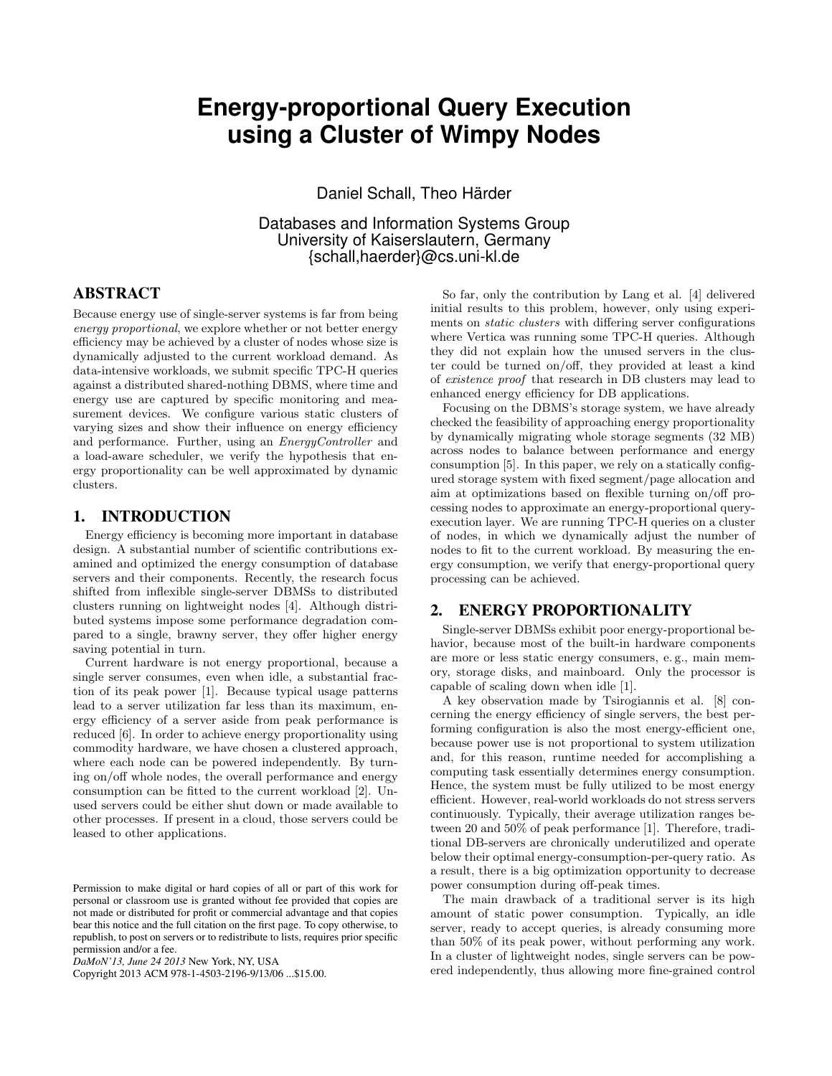# **Energy-proportional Query Execution using a Cluster of Wimpy Nodes**

Daniel Schall, Theo Härder

Databases and Information Systems Group University of Kaiserslautern, Germany {schall,haerder}@cs.uni-kl.de

# ABSTRACT

Because energy use of single-server systems is far from being energy proportional, we explore whether or not better energy efficiency may be achieved by a cluster of nodes whose size is dynamically adjusted to the current workload demand. As data-intensive workloads, we submit specific TPC-H queries against a distributed shared-nothing DBMS, where time and energy use are captured by specific monitoring and measurement devices. We configure various static clusters of varying sizes and show their influence on energy efficiency and performance. Further, using an EnergyController and a load-aware scheduler, we verify the hypothesis that energy proportionality can be well approximated by dynamic clusters.

## 1. INTRODUCTION

Energy efficiency is becoming more important in database design. A substantial number of scientific contributions examined and optimized the energy consumption of database servers and their components. Recently, the research focus shifted from inflexible single-server DBMSs to distributed clusters running on lightweight nodes [4]. Although distributed systems impose some performance degradation compared to a single, brawny server, they offer higher energy saving potential in turn.

Current hardware is not energy proportional, because a single server consumes, even when idle, a substantial fraction of its peak power [1]. Because typical usage patterns lead to a server utilization far less than its maximum, energy efficiency of a server aside from peak performance is reduced [6]. In order to achieve energy proportionality using commodity hardware, we have chosen a clustered approach, where each node can be powered independently. By turning on/off whole nodes, the overall performance and energy consumption can be fitted to the current workload [2]. Unused servers could be either shut down or made available to other processes. If present in a cloud, those servers could be leased to other applications.

Copyright 2013 ACM 978-1-4503-2196-9/13/06 ...\$15.00.

So far, only the contribution by Lang et al. [4] delivered initial results to this problem, however, only using experiments on static clusters with differing server configurations where Vertica was running some TPC-H queries. Although they did not explain how the unused servers in the cluster could be turned on/off, they provided at least a kind of existence proof that research in DB clusters may lead to enhanced energy efficiency for DB applications.

Focusing on the DBMS's storage system, we have already checked the feasibility of approaching energy proportionality by dynamically migrating whole storage segments (32 MB) across nodes to balance between performance and energy consumption [5]. In this paper, we rely on a statically configured storage system with fixed segment/page allocation and aim at optimizations based on flexible turning on/off processing nodes to approximate an energy-proportional queryexecution layer. We are running TPC-H queries on a cluster of nodes, in which we dynamically adjust the number of nodes to fit to the current workload. By measuring the energy consumption, we verify that energy-proportional query processing can be achieved.

#### 2. ENERGY PROPORTIONALITY

Single-server DBMSs exhibit poor energy-proportional behavior, because most of the built-in hardware components are more or less static energy consumers, e. g., main memory, storage disks, and mainboard. Only the processor is capable of scaling down when idle [1].

A key observation made by Tsirogiannis et al. [8] concerning the energy efficiency of single servers, the best performing configuration is also the most energy-efficient one, because power use is not proportional to system utilization and, for this reason, runtime needed for accomplishing a computing task essentially determines energy consumption. Hence, the system must be fully utilized to be most energy efficient. However, real-world workloads do not stress servers continuously. Typically, their average utilization ranges between 20 and 50% of peak performance [1]. Therefore, traditional DB-servers are chronically underutilized and operate below their optimal energy-consumption-per-query ratio. As a result, there is a big optimization opportunity to decrease power consumption during off-peak times.

The main drawback of a traditional server is its high amount of static power consumption. Typically, an idle server, ready to accept queries, is already consuming more than 50% of its peak power, without performing any work. In a cluster of lightweight nodes, single servers can be powered independently, thus allowing more fine-grained control

Permission to make digital or hard copies of all or part of this work for personal or classroom use is granted without fee provided that copies are not made or distributed for profit or commercial advantage and that copies bear this notice and the full citation on the first page. To copy otherwise, to republish, to post on servers or to redistribute to lists, requires prior specific permission and/or a fee.

*DaMoN'13, June 24 2013* New York, NY, USA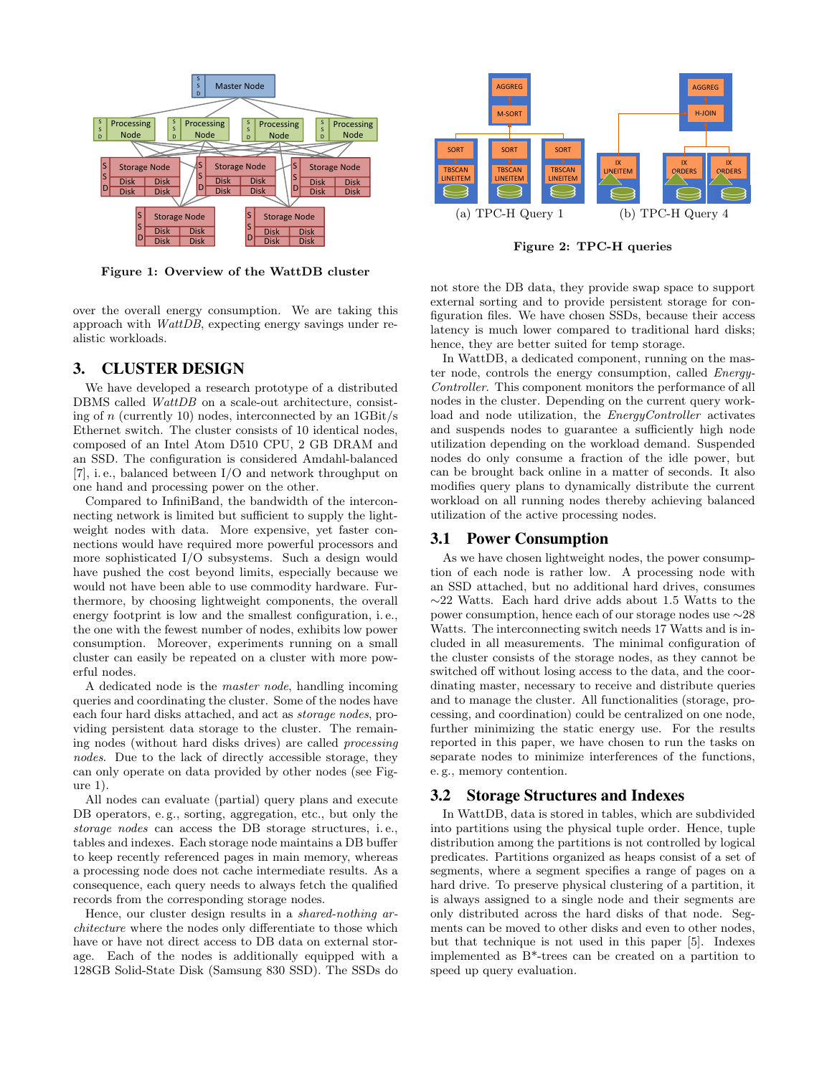

Figure 1: Overview of the WattDB cluster

over the overall energy consumption. We are taking this approach with WattDB, expecting energy savings under realistic workloads.

## 3. CLUSTER DESIGN

We have developed a research prototype of a distributed DBMS called WattDB on a scale-out architecture, consisting of n (currently 10) nodes, interconnected by an  $1\text{GBit/s}$ Ethernet switch. The cluster consists of 10 identical nodes, composed of an Intel Atom D510 CPU, 2 GB DRAM and an SSD. The configuration is considered Amdahl-balanced [7], i. e., balanced between I/O and network throughput on one hand and processing power on the other.

Compared to InfiniBand, the bandwidth of the interconnecting network is limited but sufficient to supply the lightweight nodes with data. More expensive, yet faster connections would have required more powerful processors and more sophisticated I/O subsystems. Such a design would have pushed the cost beyond limits, especially because we would not have been able to use commodity hardware. Furthermore, by choosing lightweight components, the overall energy footprint is low and the smallest configuration, i. e., the one with the fewest number of nodes, exhibits low power consumption. Moreover, experiments running on a small cluster can easily be repeated on a cluster with more powerful nodes.

A dedicated node is the master node, handling incoming queries and coordinating the cluster. Some of the nodes have each four hard disks attached, and act as storage nodes, providing persistent data storage to the cluster. The remaining nodes (without hard disks drives) are called processing nodes. Due to the lack of directly accessible storage, they can only operate on data provided by other nodes (see Figure 1).

All nodes can evaluate (partial) query plans and execute DB operators, e.g., sorting, aggregation, etc., but only the storage nodes can access the DB storage structures, i. e., tables and indexes. Each storage node maintains a DB buffer to keep recently referenced pages in main memory, whereas a processing node does not cache intermediate results. As a consequence, each query needs to always fetch the qualified records from the corresponding storage nodes.

Hence, our cluster design results in a shared-nothing architecture where the nodes only differentiate to those which have or have not direct access to DB data on external storage. Each of the nodes is additionally equipped with a 128GB Solid-State Disk (Samsung 830 SSD). The SSDs do



Figure 2: TPC-H queries

not store the DB data, they provide swap space to support external sorting and to provide persistent storage for configuration files. We have chosen SSDs, because their access latency is much lower compared to traditional hard disks; hence, they are better suited for temp storage.

In WattDB, a dedicated component, running on the master node, controls the energy consumption, called Energy-Controller. This component monitors the performance of all nodes in the cluster. Depending on the current query workload and node utilization, the *EnergyController* activates and suspends nodes to guarantee a sufficiently high node utilization depending on the workload demand. Suspended nodes do only consume a fraction of the idle power, but can be brought back online in a matter of seconds. It also modifies query plans to dynamically distribute the current workload on all running nodes thereby achieving balanced utilization of the active processing nodes.

#### 3.1 Power Consumption

As we have chosen lightweight nodes, the power consumption of each node is rather low. A processing node with an SSD attached, but no additional hard drives, consumes ∼22 Watts. Each hard drive adds about 1.5 Watts to the power consumption, hence each of our storage nodes use ∼28 Watts. The interconnecting switch needs 17 Watts and is included in all measurements. The minimal configuration of the cluster consists of the storage nodes, as they cannot be switched off without losing access to the data, and the coordinating master, necessary to receive and distribute queries and to manage the cluster. All functionalities (storage, processing, and coordination) could be centralized on one node, further minimizing the static energy use. For the results reported in this paper, we have chosen to run the tasks on separate nodes to minimize interferences of the functions, e. g., memory contention.

## 3.2 Storage Structures and Indexes

In WattDB, data is stored in tables, which are subdivided into partitions using the physical tuple order. Hence, tuple distribution among the partitions is not controlled by logical predicates. Partitions organized as heaps consist of a set of segments, where a segment specifies a range of pages on a hard drive. To preserve physical clustering of a partition, it is always assigned to a single node and their segments are only distributed across the hard disks of that node. Segments can be moved to other disks and even to other nodes, but that technique is not used in this paper [5]. Indexes implemented as B\*-trees can be created on a partition to speed up query evaluation.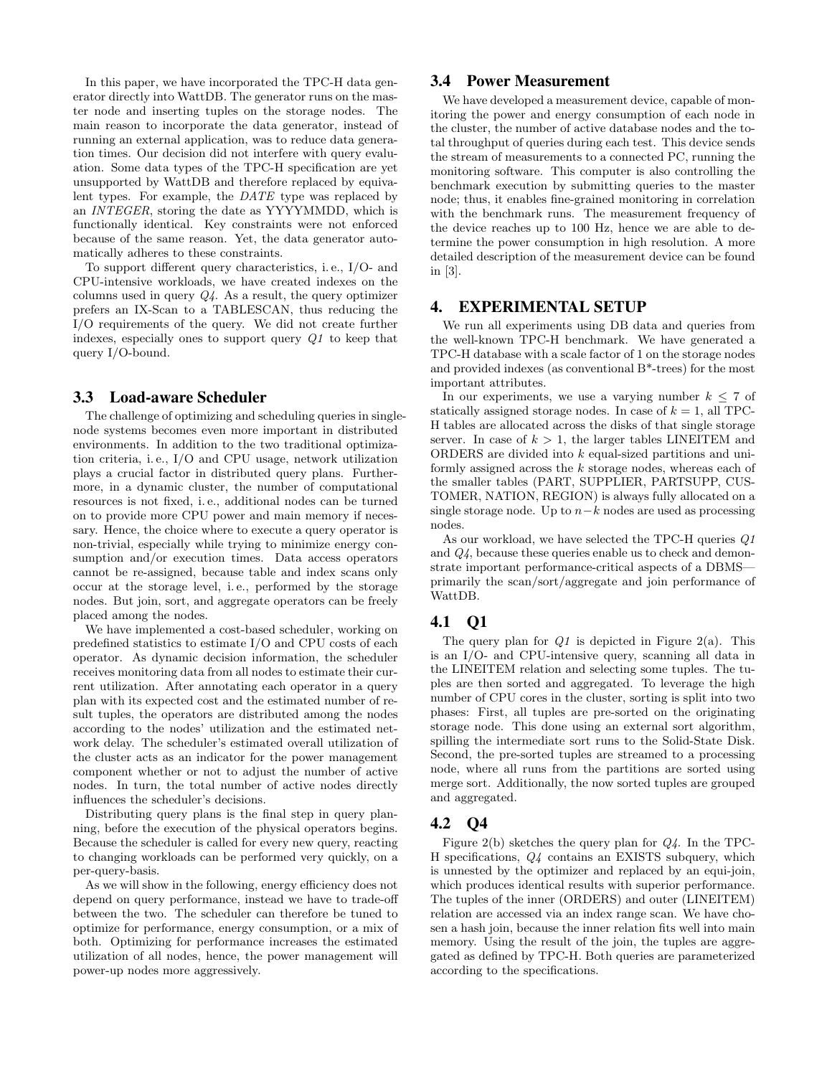In this paper, we have incorporated the TPC-H data generator directly into WattDB. The generator runs on the master node and inserting tuples on the storage nodes. The main reason to incorporate the data generator, instead of running an external application, was to reduce data generation times. Our decision did not interfere with query evaluation. Some data types of the TPC-H specification are yet unsupported by WattDB and therefore replaced by equivalent types. For example, the DATE type was replaced by an INTEGER, storing the date as YYYYMMDD, which is functionally identical. Key constraints were not enforced because of the same reason. Yet, the data generator automatically adheres to these constraints.

To support different query characteristics, i. e., I/O- and CPU-intensive workloads, we have created indexes on the columns used in query  $Q_4$ . As a result, the query optimizer prefers an IX-Scan to a TABLESCAN, thus reducing the I/O requirements of the query. We did not create further indexes, especially ones to support query  $Q_1$  to keep that query I/O-bound.

#### 3.3 Load-aware Scheduler

The challenge of optimizing and scheduling queries in singlenode systems becomes even more important in distributed environments. In addition to the two traditional optimization criteria, i. e., I/O and CPU usage, network utilization plays a crucial factor in distributed query plans. Furthermore, in a dynamic cluster, the number of computational resources is not fixed, i. e., additional nodes can be turned on to provide more CPU power and main memory if necessary. Hence, the choice where to execute a query operator is non-trivial, especially while trying to minimize energy consumption and/or execution times. Data access operators cannot be re-assigned, because table and index scans only occur at the storage level, i. e., performed by the storage nodes. But join, sort, and aggregate operators can be freely placed among the nodes.

We have implemented a cost-based scheduler, working on predefined statistics to estimate I/O and CPU costs of each operator. As dynamic decision information, the scheduler receives monitoring data from all nodes to estimate their current utilization. After annotating each operator in a query plan with its expected cost and the estimated number of result tuples, the operators are distributed among the nodes according to the nodes' utilization and the estimated network delay. The scheduler's estimated overall utilization of the cluster acts as an indicator for the power management component whether or not to adjust the number of active nodes. In turn, the total number of active nodes directly influences the scheduler's decisions.

Distributing query plans is the final step in query planning, before the execution of the physical operators begins. Because the scheduler is called for every new query, reacting to changing workloads can be performed very quickly, on a per-query-basis.

As we will show in the following, energy efficiency does not depend on query performance, instead we have to trade-off between the two. The scheduler can therefore be tuned to optimize for performance, energy consumption, or a mix of both. Optimizing for performance increases the estimated utilization of all nodes, hence, the power management will power-up nodes more aggressively.

## 3.4 Power Measurement

We have developed a measurement device, capable of monitoring the power and energy consumption of each node in the cluster, the number of active database nodes and the total throughput of queries during each test. This device sends the stream of measurements to a connected PC, running the monitoring software. This computer is also controlling the benchmark execution by submitting queries to the master node; thus, it enables fine-grained monitoring in correlation with the benchmark runs. The measurement frequency of the device reaches up to 100 Hz, hence we are able to determine the power consumption in high resolution. A more detailed description of the measurement device can be found in [3].

#### 4. EXPERIMENTAL SETUP

We run all experiments using DB data and queries from the well-known TPC-H benchmark. We have generated a TPC-H database with a scale factor of 1 on the storage nodes and provided indexes (as conventional B\*-trees) for the most important attributes.

In our experiments, we use a varying number  $k \leq 7$  of statically assigned storage nodes. In case of  $k = 1$ , all TPC-H tables are allocated across the disks of that single storage server. In case of  $k > 1$ , the larger tables LINEITEM and ORDERS are divided into k equal-sized partitions and uniformly assigned across the k storage nodes, whereas each of the smaller tables (PART, SUPPLIER, PARTSUPP, CUS-TOMER, NATION, REGION) is always fully allocated on a single storage node. Up to  $n-k$  nodes are used as processing nodes.

As our workload, we have selected the TPC-H queries Q1 and Q4, because these queries enable us to check and demonstrate important performance-critical aspects of a DBMS primarily the scan/sort/aggregate and join performance of WattDB.

#### 4.1 Q1

The query plan for  $Q_1$  is depicted in Figure 2(a). This is an I/O- and CPU-intensive query, scanning all data in the LINEITEM relation and selecting some tuples. The tuples are then sorted and aggregated. To leverage the high number of CPU cores in the cluster, sorting is split into two phases: First, all tuples are pre-sorted on the originating storage node. This done using an external sort algorithm, spilling the intermediate sort runs to the Solid-State Disk. Second, the pre-sorted tuples are streamed to a processing node, where all runs from the partitions are sorted using merge sort. Additionally, the now sorted tuples are grouped and aggregated.

#### 4.2 Q4

Figure 2(b) sketches the query plan for  $Q_4$ . In the TPC-H specifications, Q4 contains an EXISTS subquery, which is unnested by the optimizer and replaced by an equi-join, which produces identical results with superior performance. The tuples of the inner (ORDERS) and outer (LINEITEM) relation are accessed via an index range scan. We have chosen a hash join, because the inner relation fits well into main memory. Using the result of the join, the tuples are aggregated as defined by TPC-H. Both queries are parameterized according to the specifications.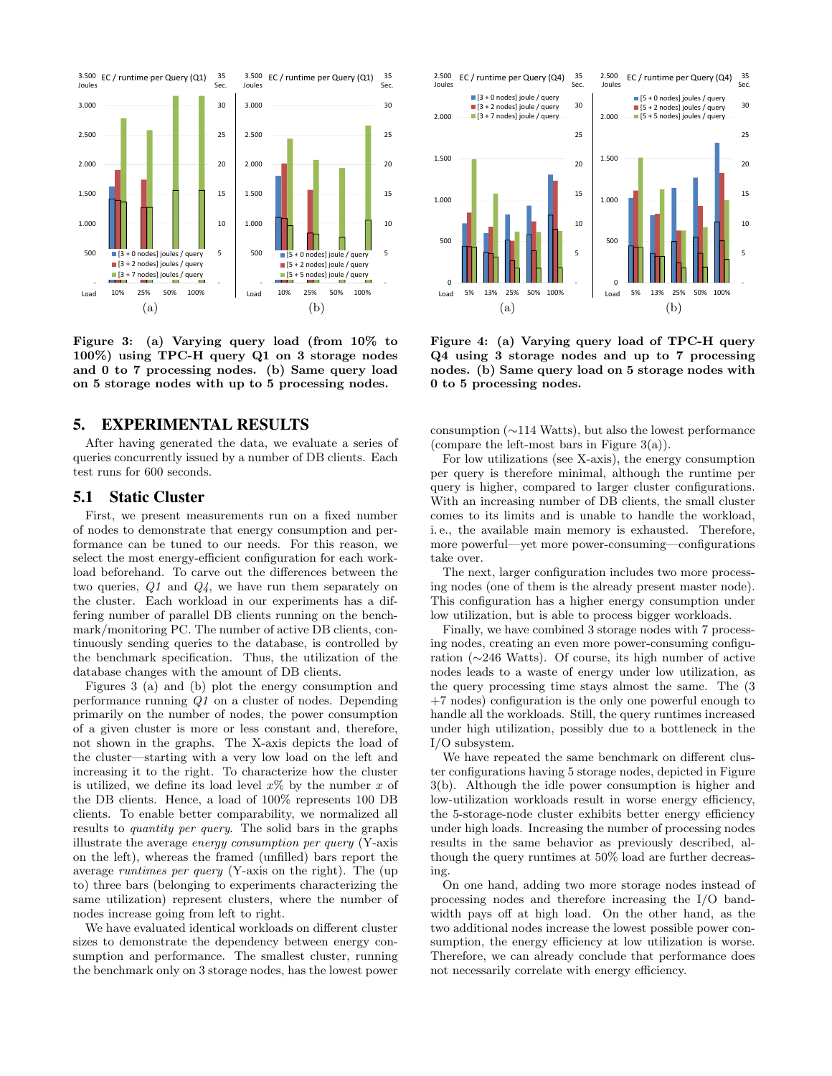

Figure 3: (a) Varying query load (from 10% to 100%) using TPC-H query Q1 on 3 storage nodes and 0 to 7 processing nodes. (b) Same query load on 5 storage nodes with up to 5 processing nodes.

## 5. EXPERIMENTAL RESULTS

After having generated the data, we evaluate a series of queries concurrently issued by a number of DB clients. Each test runs for 600 seconds.

#### 5.1 Static Cluster

First, we present measurements run on a fixed number of nodes to demonstrate that energy consumption and performance can be tuned to our needs. For this reason, we select the most energy-efficient configuration for each workload beforehand. To carve out the differences between the two queries,  $Q_1$  and  $Q_4$ , we have run them separately on the cluster. Each workload in our experiments has a differing number of parallel DB clients running on the benchmark/monitoring PC. The number of active DB clients, continuously sending queries to the database, is controlled by the benchmark specification. Thus, the utilization of the database changes with the amount of DB clients.

Figures 3 (a) and (b) plot the energy consumption and performance running Q1 on a cluster of nodes. Depending primarily on the number of nodes, the power consumption of a given cluster is more or less constant and, therefore, not shown in the graphs. The X-axis depicts the load of the cluster—starting with a very low load on the left and increasing it to the right. To characterize how the cluster is utilized, we define its load level  $x\%$  by the number x of the DB clients. Hence, a load of 100% represents 100 DB clients. To enable better comparability, we normalized all results to quantity per query. The solid bars in the graphs illustrate the average energy consumption per query (Y-axis on the left), whereas the framed (unfilled) bars report the average runtimes per query (Y-axis on the right). The (up to) three bars (belonging to experiments characterizing the same utilization) represent clusters, where the number of nodes increase going from left to right.

We have evaluated identical workloads on different cluster sizes to demonstrate the dependency between energy consumption and performance. The smallest cluster, running the benchmark only on 3 storage nodes, has the lowest power



Figure 4: (a) Varying query load of TPC-H query Q4 using 3 storage nodes and up to 7 processing nodes. (b) Same query load on 5 storage nodes with 0 to 5 processing nodes.

consumption (∼114 Watts), but also the lowest performance (compare the left-most bars in Figure 3(a)).

For low utilizations (see X-axis), the energy consumption per query is therefore minimal, although the runtime per query is higher, compared to larger cluster configurations. With an increasing number of DB clients, the small cluster comes to its limits and is unable to handle the workload, i. e., the available main memory is exhausted. Therefore, more powerful—yet more power-consuming—configurations take over.

The next, larger configuration includes two more processing nodes (one of them is the already present master node). This configuration has a higher energy consumption under low utilization, but is able to process bigger workloads.

Finally, we have combined 3 storage nodes with 7 processing nodes, creating an even more power-consuming configuration (∼246 Watts). Of course, its high number of active nodes leads to a waste of energy under low utilization, as the query processing time stays almost the same. The (3 +7 nodes) configuration is the only one powerful enough to handle all the workloads. Still, the query runtimes increased under high utilization, possibly due to a bottleneck in the I/O subsystem.

We have repeated the same benchmark on different cluster configurations having 5 storage nodes, depicted in Figure 3(b). Although the idle power consumption is higher and low-utilization workloads result in worse energy efficiency, the 5-storage-node cluster exhibits better energy efficiency under high loads. Increasing the number of processing nodes results in the same behavior as previously described, although the query runtimes at 50% load are further decreasing.

On one hand, adding two more storage nodes instead of processing nodes and therefore increasing the I/O bandwidth pays off at high load. On the other hand, as the two additional nodes increase the lowest possible power consumption, the energy efficiency at low utilization is worse. Therefore, we can already conclude that performance does not necessarily correlate with energy efficiency.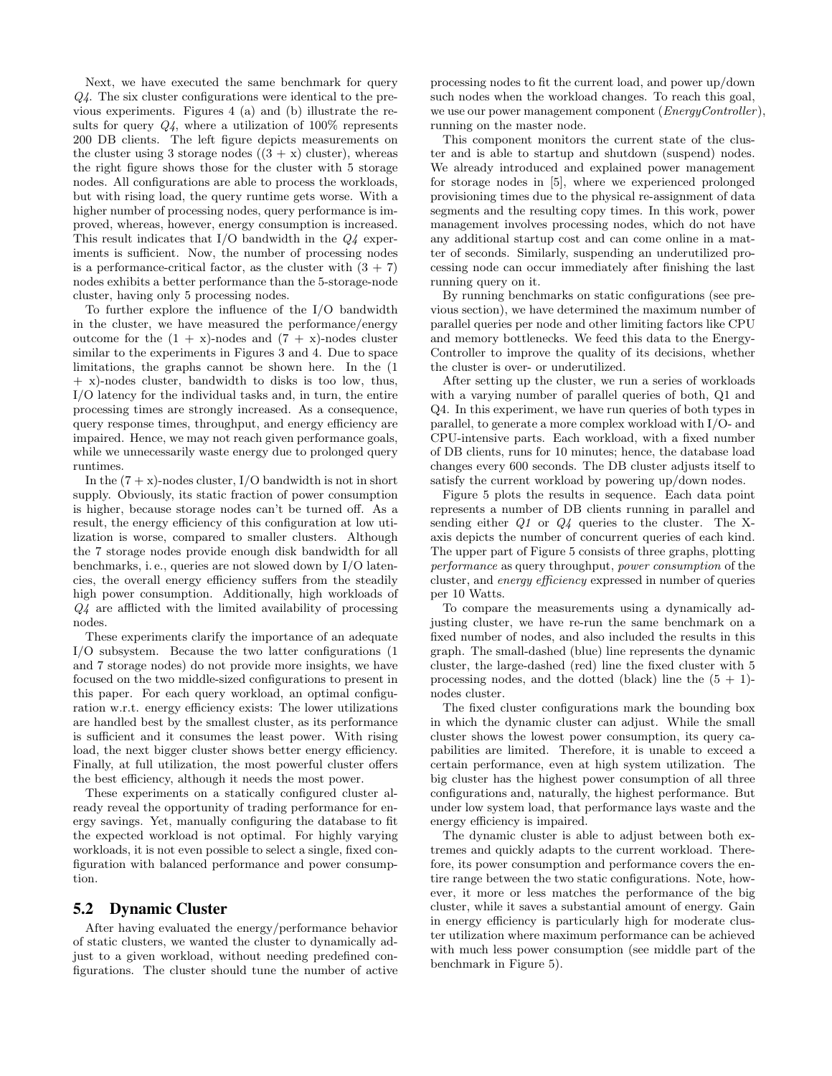Next, we have executed the same benchmark for query Q4. The six cluster configurations were identical to the previous experiments. Figures 4 (a) and (b) illustrate the results for query  $Q_4$ , where a utilization of 100% represents 200 DB clients. The left figure depicts measurements on the cluster using 3 storage nodes  $((3 + x)$  cluster), whereas the right figure shows those for the cluster with 5 storage nodes. All configurations are able to process the workloads, but with rising load, the query runtime gets worse. With a higher number of processing nodes, query performance is improved, whereas, however, energy consumption is increased. This result indicates that  $I/O$  bandwidth in the  $Q4$  experiments is sufficient. Now, the number of processing nodes is a performance-critical factor, as the cluster with  $(3 + 7)$ nodes exhibits a better performance than the 5-storage-node cluster, having only 5 processing nodes.

To further explore the influence of the I/O bandwidth in the cluster, we have measured the performance/energy outcome for the  $(1 + x)$ -nodes and  $(7 + x)$ -nodes cluster similar to the experiments in Figures 3 and 4. Due to space limitations, the graphs cannot be shown here. In the (1 + x)-nodes cluster, bandwidth to disks is too low, thus, I/O latency for the individual tasks and, in turn, the entire processing times are strongly increased. As a consequence, query response times, throughput, and energy efficiency are impaired. Hence, we may not reach given performance goals, while we unnecessarily waste energy due to prolonged query runtimes.

In the  $(7 + x)$ -nodes cluster, I/O bandwidth is not in short supply. Obviously, its static fraction of power consumption is higher, because storage nodes can't be turned off. As a result, the energy efficiency of this configuration at low utilization is worse, compared to smaller clusters. Although the 7 storage nodes provide enough disk bandwidth for all benchmarks, i. e., queries are not slowed down by I/O latencies, the overall energy efficiency suffers from the steadily high power consumption. Additionally, high workloads of  $Q_4$  are afflicted with the limited availability of processing nodes.

These experiments clarify the importance of an adequate I/O subsystem. Because the two latter configurations (1 and 7 storage nodes) do not provide more insights, we have focused on the two middle-sized configurations to present in this paper. For each query workload, an optimal configuration w.r.t. energy efficiency exists: The lower utilizations are handled best by the smallest cluster, as its performance is sufficient and it consumes the least power. With rising load, the next bigger cluster shows better energy efficiency. Finally, at full utilization, the most powerful cluster offers the best efficiency, although it needs the most power.

These experiments on a statically configured cluster already reveal the opportunity of trading performance for energy savings. Yet, manually configuring the database to fit the expected workload is not optimal. For highly varying workloads, it is not even possible to select a single, fixed configuration with balanced performance and power consumption.

#### 5.2 Dynamic Cluster

After having evaluated the energy/performance behavior of static clusters, we wanted the cluster to dynamically adjust to a given workload, without needing predefined configurations. The cluster should tune the number of active processing nodes to fit the current load, and power up/down such nodes when the workload changes. To reach this goal, we use our power management component  $(EnergyController)$ , running on the master node.

This component monitors the current state of the cluster and is able to startup and shutdown (suspend) nodes. We already introduced and explained power management for storage nodes in [5], where we experienced prolonged provisioning times due to the physical re-assignment of data segments and the resulting copy times. In this work, power management involves processing nodes, which do not have any additional startup cost and can come online in a matter of seconds. Similarly, suspending an underutilized processing node can occur immediately after finishing the last running query on it.

By running benchmarks on static configurations (see previous section), we have determined the maximum number of parallel queries per node and other limiting factors like CPU and memory bottlenecks. We feed this data to the Energy-Controller to improve the quality of its decisions, whether the cluster is over- or underutilized.

After setting up the cluster, we run a series of workloads with a varying number of parallel queries of both, Q1 and Q4. In this experiment, we have run queries of both types in parallel, to generate a more complex workload with I/O- and CPU-intensive parts. Each workload, with a fixed number of DB clients, runs for 10 minutes; hence, the database load changes every 600 seconds. The DB cluster adjusts itself to satisfy the current workload by powering up/down nodes.

Figure 5 plots the results in sequence. Each data point represents a number of DB clients running in parallel and sending either  $Q1$  or  $Q4$  queries to the cluster. The Xaxis depicts the number of concurrent queries of each kind. The upper part of Figure 5 consists of three graphs, plotting performance as query throughput, power consumption of the cluster, and energy efficiency expressed in number of queries per 10 Watts.

To compare the measurements using a dynamically adjusting cluster, we have re-run the same benchmark on a fixed number of nodes, and also included the results in this graph. The small-dashed (blue) line represents the dynamic cluster, the large-dashed (red) line the fixed cluster with 5 processing nodes, and the dotted (black) line the  $(5 + 1)$ nodes cluster.

The fixed cluster configurations mark the bounding box in which the dynamic cluster can adjust. While the small cluster shows the lowest power consumption, its query capabilities are limited. Therefore, it is unable to exceed a certain performance, even at high system utilization. The big cluster has the highest power consumption of all three configurations and, naturally, the highest performance. But under low system load, that performance lays waste and the energy efficiency is impaired.

The dynamic cluster is able to adjust between both extremes and quickly adapts to the current workload. Therefore, its power consumption and performance covers the entire range between the two static configurations. Note, however, it more or less matches the performance of the big cluster, while it saves a substantial amount of energy. Gain in energy efficiency is particularly high for moderate cluster utilization where maximum performance can be achieved with much less power consumption (see middle part of the benchmark in Figure 5).